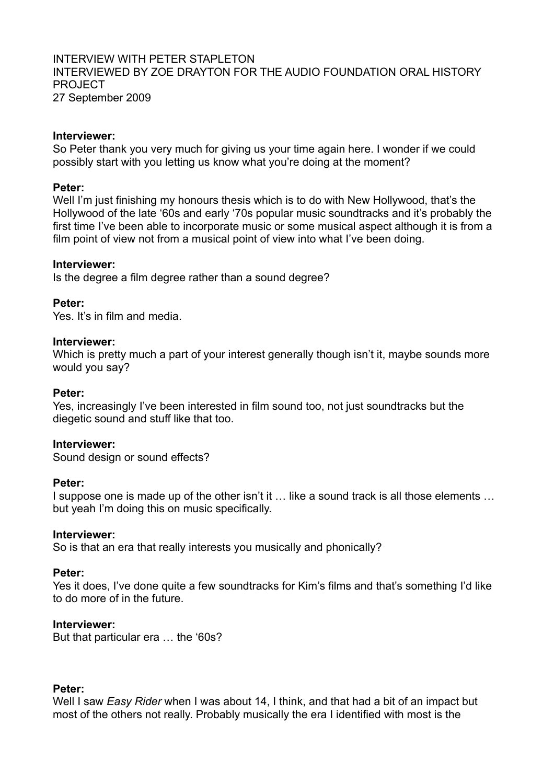### INTERVIEW WITH PETER STAPI FTON INTERVIEWED BY ZOE DRAYTON FOR THE AUDIO FOUNDATION ORAL HISTORY PROJECT 27 September 2009

#### **Interviewer:**

So Peter thank you very much for giving us your time again here. I wonder if we could possibly start with you letting us know what you're doing at the moment?

#### **Peter:**

Well I'm just finishing my honours thesis which is to do with New Hollywood, that's the Hollywood of the late '60s and early '70s popular music soundtracks and it's probably the first time I've been able to incorporate music or some musical aspect although it is from a film point of view not from a musical point of view into what I've been doing.

### **Interviewer:**

Is the degree a film degree rather than a sound degree?

### **Peter:**

Yes. It's in film and media.

### **Interviewer:**

Which is pretty much a part of your interest generally though isn't it, maybe sounds more would you say?

#### **Peter:**

Yes, increasingly I've been interested in film sound too, not just soundtracks but the diegetic sound and stuff like that too.

### **Interviewer:**

Sound design or sound effects?

#### **Peter:**

I suppose one is made up of the other isn't it … like a sound track is all those elements … but yeah I'm doing this on music specifically.

#### **Interviewer:**

So is that an era that really interests you musically and phonically?

#### **Peter:**

Yes it does, I've done quite a few soundtracks for Kim's films and that's something I'd like to do more of in the future.

#### **Interviewer:**

But that particular era … the '60s?

#### **Peter:**

Well I saw *Easy Rider* when I was about 14, I think, and that had a bit of an impact but most of the others not really. Probably musically the era I identified with most is the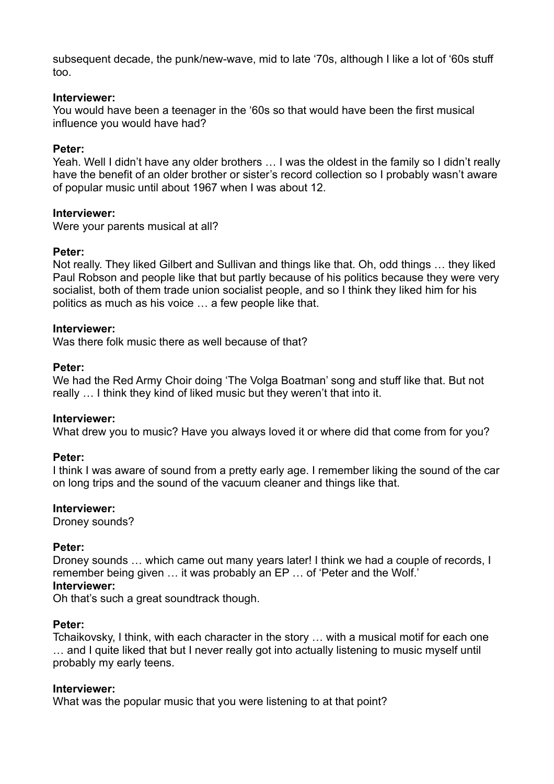subsequent decade, the punk/new-wave, mid to late '70s, although I like a lot of '60s stuff too.

### **Interviewer:**

You would have been a teenager in the '60s so that would have been the first musical influence you would have had?

### **Peter:**

Yeah. Well I didn't have any older brothers … I was the oldest in the family so I didn't really have the benefit of an older brother or sister's record collection so I probably wasn't aware of popular music until about 1967 when I was about 12.

### **Interviewer:**

Were your parents musical at all?

### **Peter:**

Not really. They liked Gilbert and Sullivan and things like that. Oh, odd things … they liked Paul Robson and people like that but partly because of his politics because they were very socialist, both of them trade union socialist people, and so I think they liked him for his politics as much as his voice … a few people like that.

### **Interviewer:**

Was there folk music there as well because of that?

### **Peter:**

We had the Red Army Choir doing 'The Volga Boatman' song and stuff like that. But not really … I think they kind of liked music but they weren't that into it.

### **Interviewer:**

What drew you to music? Have you always loved it or where did that come from for you?

### **Peter:**

I think I was aware of sound from a pretty early age. I remember liking the sound of the car on long trips and the sound of the vacuum cleaner and things like that.

#### **Interviewer:**

Droney sounds?

### **Peter:**

Droney sounds … which came out many years later! I think we had a couple of records, I remember being given … it was probably an EP … of 'Peter and the Wolf.'

## **Interviewer:**

Oh that's such a great soundtrack though.

### **Peter:**

Tchaikovsky, I think, with each character in the story … with a musical motif for each one … and I quite liked that but I never really got into actually listening to music myself until probably my early teens.

#### **Interviewer:**

What was the popular music that you were listening to at that point?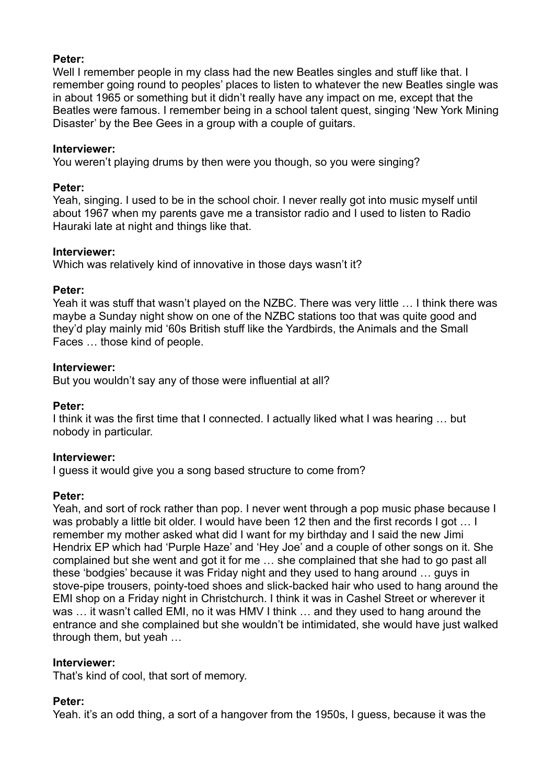### **Peter:**

Well I remember people in my class had the new Beatles singles and stuff like that. I remember going round to peoples' places to listen to whatever the new Beatles single was in about 1965 or something but it didn't really have any impact on me, except that the Beatles were famous. I remember being in a school talent quest, singing 'New York Mining Disaster' by the Bee Gees in a group with a couple of guitars.

### **Interviewer:**

You weren't playing drums by then were you though, so you were singing?

### **Peter:**

Yeah, singing. I used to be in the school choir. I never really got into music myself until about 1967 when my parents gave me a transistor radio and I used to listen to Radio Hauraki late at night and things like that.

### **Interviewer:**

Which was relatively kind of innovative in those days wasn't it?

### **Peter:**

Yeah it was stuff that wasn't played on the NZBC. There was very little … I think there was maybe a Sunday night show on one of the NZBC stations too that was quite good and they'd play mainly mid '60s British stuff like the Yardbirds, the Animals and the Small Faces … those kind of people.

### **Interviewer:**

But you wouldn't say any of those were influential at all?

### **Peter:**

I think it was the first time that I connected. I actually liked what I was hearing … but nobody in particular.

### **Interviewer:**

I guess it would give you a song based structure to come from?

### **Peter:**

Yeah, and sort of rock rather than pop. I never went through a pop music phase because I was probably a little bit older. I would have been 12 then and the first records I got … I remember my mother asked what did I want for my birthday and I said the new Jimi Hendrix EP which had 'Purple Haze' and 'Hey Joe' and a couple of other songs on it. She complained but she went and got it for me … she complained that she had to go past all these 'bodgies' because it was Friday night and they used to hang around … guys in stove-pipe trousers, pointy-toed shoes and slick-backed hair who used to hang around the EMI shop on a Friday night in Christchurch. I think it was in Cashel Street or wherever it was … it wasn't called EMI, no it was HMV I think … and they used to hang around the entrance and she complained but she wouldn't be intimidated, she would have just walked through them, but yeah …

### **Interviewer:**

That's kind of cool, that sort of memory.

### **Peter:**

Yeah. it's an odd thing, a sort of a hangover from the 1950s, I guess, because it was the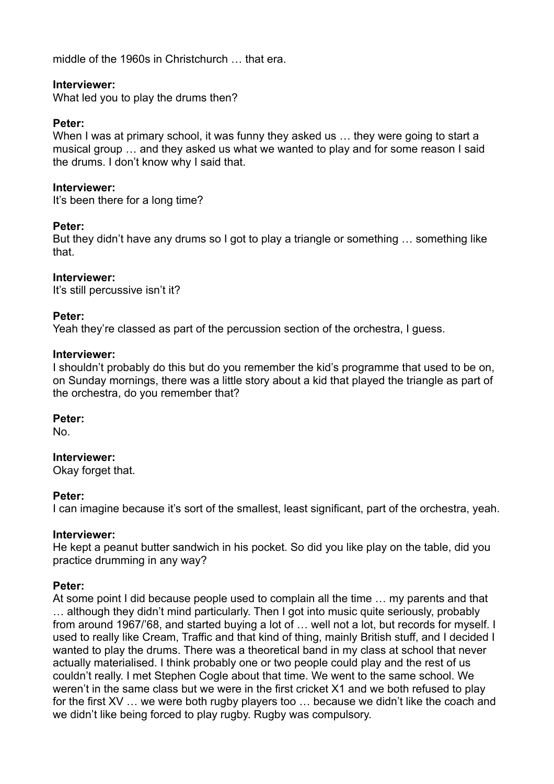middle of the 1960s in Christchurch … that era.

### **Interviewer:**

What led you to play the drums then?

### **Peter:**

When I was at primary school, it was funny they asked us ... they were going to start a musical group … and they asked us what we wanted to play and for some reason I said the drums. I don't know why I said that.

### **Interviewer:**

It's been there for a long time?

### **Peter:**

But they didn't have any drums so I got to play a triangle or something … something like that.

## **Interviewer:**

It's still percussive isn't it?

### **Peter:**

Yeah they're classed as part of the percussion section of the orchestra, I guess.

### **Interviewer:**

I shouldn't probably do this but do you remember the kid's programme that used to be on, on Sunday mornings, there was a little story about a kid that played the triangle as part of the orchestra, do you remember that?

### **Peter:**

No.

### **Interviewer:**

Okay forget that.

### **Peter:**

I can imagine because it's sort of the smallest, least significant, part of the orchestra, yeah.

### **Interviewer:**

He kept a peanut butter sandwich in his pocket. So did you like play on the table, did you practice drumming in any way?

### **Peter:**

At some point I did because people used to complain all the time … my parents and that … although they didn't mind particularly. Then I got into music quite seriously, probably from around 1967/'68, and started buying a lot of … well not a lot, but records for myself. I used to really like Cream, Traffic and that kind of thing, mainly British stuff, and I decided I wanted to play the drums. There was a theoretical band in my class at school that never actually materialised. I think probably one or two people could play and the rest of us couldn't really. I met Stephen Cogle about that time. We went to the same school. We weren't in the same class but we were in the first cricket X1 and we both refused to play for the first XV … we were both rugby players too … because we didn't like the coach and we didn't like being forced to play rugby. Rugby was compulsory.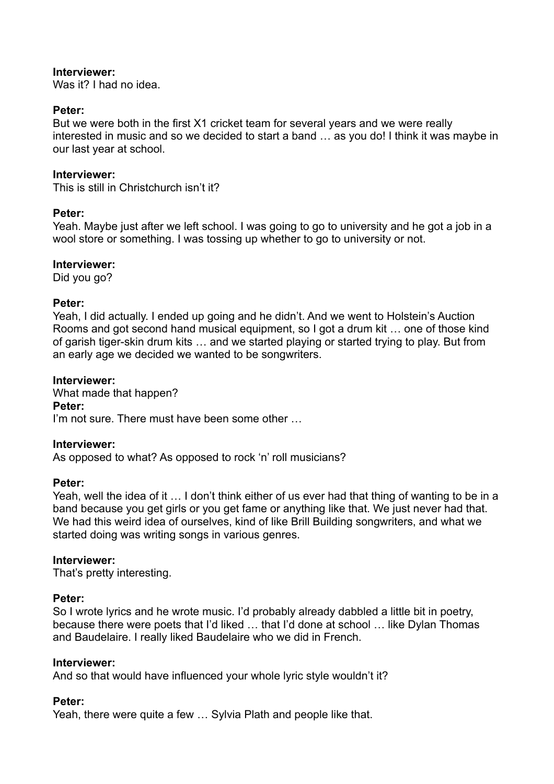Was it? I had no idea.

## **Peter:**

But we were both in the first X1 cricket team for several years and we were really interested in music and so we decided to start a band … as you do! I think it was maybe in our last year at school.

## **Interviewer:**

This is still in Christchurch isn't it?

## **Peter:**

Yeah. Maybe just after we left school. I was going to go to university and he got a job in a wool store or something. I was tossing up whether to go to university or not.

## **Interviewer:**

Did you go?

## **Peter:**

Yeah, I did actually. I ended up going and he didn't. And we went to Holstein's Auction Rooms and got second hand musical equipment, so I got a drum kit … one of those kind of garish tiger-skin drum kits … and we started playing or started trying to play. But from an early age we decided we wanted to be songwriters.

## **Interviewer:**

What made that happen? **Peter:** I'm not sure. There must have been some other …

### **Interviewer:**

As opposed to what? As opposed to rock 'n' roll musicians?

### **Peter:**

Yeah, well the idea of it … I don't think either of us ever had that thing of wanting to be in a band because you get girls or you get fame or anything like that. We just never had that. We had this weird idea of ourselves, kind of like Brill Building songwriters, and what we started doing was writing songs in various genres.

### **Interviewer:**

That's pretty interesting.

# **Peter:**

So I wrote lyrics and he wrote music. I'd probably already dabbled a little bit in poetry, because there were poets that I'd liked … that I'd done at school … like Dylan Thomas and Baudelaire. I really liked Baudelaire who we did in French.

### **Interviewer:**

And so that would have influenced your whole lyric style wouldn't it?

# **Peter:**

Yeah, there were quite a few … Sylvia Plath and people like that.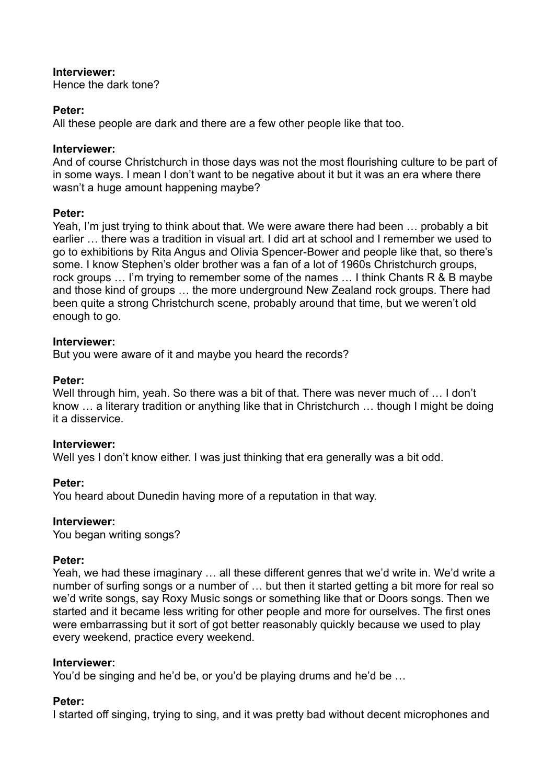Hence the dark tone?

# **Peter:**

All these people are dark and there are a few other people like that too.

# **Interviewer:**

And of course Christchurch in those days was not the most flourishing culture to be part of in some ways. I mean I don't want to be negative about it but it was an era where there wasn't a huge amount happening maybe?

# **Peter:**

Yeah, I'm just trying to think about that. We were aware there had been … probably a bit earlier … there was a tradition in visual art. I did art at school and I remember we used to go to exhibitions by Rita Angus and Olivia Spencer-Bower and people like that, so there's some. I know Stephen's older brother was a fan of a lot of 1960s Christchurch groups, rock groups … I'm trying to remember some of the names … I think Chants R & B maybe and those kind of groups … the more underground New Zealand rock groups. There had been quite a strong Christchurch scene, probably around that time, but we weren't old enough to go.

# **Interviewer:**

But you were aware of it and maybe you heard the records?

# **Peter:**

Well through him, yeah. So there was a bit of that. There was never much of … I don't know … a literary tradition or anything like that in Christchurch … though I might be doing it a disservice.

# **Interviewer:**

Well yes I don't know either. I was just thinking that era generally was a bit odd.

# **Peter:**

You heard about Dunedin having more of a reputation in that way.

# **Interviewer:**

You began writing songs?

# **Peter:**

Yeah, we had these imaginary … all these different genres that we'd write in. We'd write a number of surfing songs or a number of … but then it started getting a bit more for real so we'd write songs, say Roxy Music songs or something like that or Doors songs. Then we started and it became less writing for other people and more for ourselves. The first ones were embarrassing but it sort of got better reasonably quickly because we used to play every weekend, practice every weekend.

# **Interviewer:**

You'd be singing and he'd be, or you'd be playing drums and he'd be …

# **Peter:**

I started off singing, trying to sing, and it was pretty bad without decent microphones and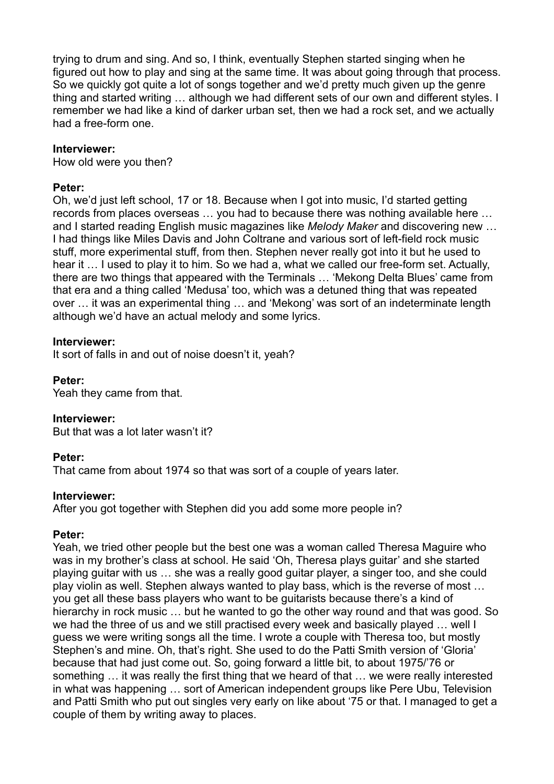trying to drum and sing. And so, I think, eventually Stephen started singing when he figured out how to play and sing at the same time. It was about going through that process. So we quickly got quite a lot of songs together and we'd pretty much given up the genre thing and started writing … although we had different sets of our own and different styles. I remember we had like a kind of darker urban set, then we had a rock set, and we actually had a free-form one.

### **Interviewer:**

How old were you then?

### **Peter:**

Oh, we'd just left school, 17 or 18. Because when I got into music, I'd started getting records from places overseas … you had to because there was nothing available here … and I started reading English music magazines like *Melody Maker* and discovering new … I had things like Miles Davis and John Coltrane and various sort of left-field rock music stuff, more experimental stuff, from then. Stephen never really got into it but he used to hear it ... I used to play it to him. So we had a, what we called our free-form set. Actually, there are two things that appeared with the Terminals … 'Mekong Delta Blues' came from that era and a thing called 'Medusa' too, which was a detuned thing that was repeated over … it was an experimental thing … and 'Mekong' was sort of an indeterminate length although we'd have an actual melody and some lyrics.

### **Interviewer:**

It sort of falls in and out of noise doesn't it, yeah?

### **Peter:**

Yeah they came from that.

### **Interviewer:**

But that was a lot later wasn't it?

### **Peter:**

That came from about 1974 so that was sort of a couple of years later.

### **Interviewer:**

After you got together with Stephen did you add some more people in?

### **Peter:**

Yeah, we tried other people but the best one was a woman called Theresa Maguire who was in my brother's class at school. He said 'Oh, Theresa plays guitar' and she started playing guitar with us … she was a really good guitar player, a singer too, and she could play violin as well. Stephen always wanted to play bass, which is the reverse of most … you get all these bass players who want to be guitarists because there's a kind of hierarchy in rock music … but he wanted to go the other way round and that was good. So we had the three of us and we still practised every week and basically played … well I guess we were writing songs all the time. I wrote a couple with Theresa too, but mostly Stephen's and mine. Oh, that's right. She used to do the Patti Smith version of 'Gloria' because that had just come out. So, going forward a little bit, to about 1975/'76 or something … it was really the first thing that we heard of that … we were really interested in what was happening … sort of American independent groups like Pere Ubu, Television and Patti Smith who put out singles very early on like about '75 or that. I managed to get a couple of them by writing away to places.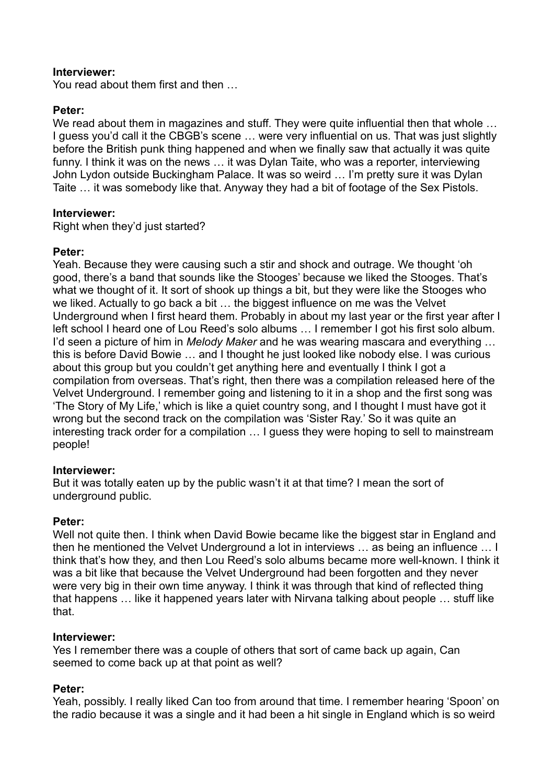You read about them first and then …

### **Peter:**

We read about them in magazines and stuff. They were quite influential then that whole ... I guess you'd call it the CBGB's scene … were very influential on us. That was just slightly before the British punk thing happened and when we finally saw that actually it was quite funny. I think it was on the news … it was Dylan Taite, who was a reporter, interviewing John Lydon outside Buckingham Palace. It was so weird … I'm pretty sure it was Dylan Taite … it was somebody like that. Anyway they had a bit of footage of the Sex Pistols.

### **Interviewer:**

Right when they'd just started?

### **Peter:**

Yeah. Because they were causing such a stir and shock and outrage. We thought 'oh good, there's a band that sounds like the Stooges' because we liked the Stooges. That's what we thought of it. It sort of shook up things a bit, but they were like the Stooges who we liked. Actually to go back a bit … the biggest influence on me was the Velvet Underground when I first heard them. Probably in about my last year or the first year after I left school I heard one of Lou Reed's solo albums … I remember I got his first solo album. I'd seen a picture of him in *Melody Maker* and he was wearing mascara and everything … this is before David Bowie … and I thought he just looked like nobody else. I was curious about this group but you couldn't get anything here and eventually I think I got a compilation from overseas. That's right, then there was a compilation released here of the Velvet Underground. I remember going and listening to it in a shop and the first song was 'The Story of My Life,' which is like a quiet country song, and I thought I must have got it wrong but the second track on the compilation was 'Sister Ray.' So it was quite an interesting track order for a compilation … I guess they were hoping to sell to mainstream people!

#### **Interviewer:**

But it was totally eaten up by the public wasn't it at that time? I mean the sort of underground public.

#### **Peter:**

Well not quite then. I think when David Bowie became like the biggest star in England and then he mentioned the Velvet Underground a lot in interviews … as being an influence … I think that's how they, and then Lou Reed's solo albums became more well-known. I think it was a bit like that because the Velvet Underground had been forgotten and they never were very big in their own time anyway. I think it was through that kind of reflected thing that happens … like it happened years later with Nirvana talking about people … stuff like that.

### **Interviewer:**

Yes I remember there was a couple of others that sort of came back up again, Can seemed to come back up at that point as well?

### **Peter:**

Yeah, possibly. I really liked Can too from around that time. I remember hearing 'Spoon' on the radio because it was a single and it had been a hit single in England which is so weird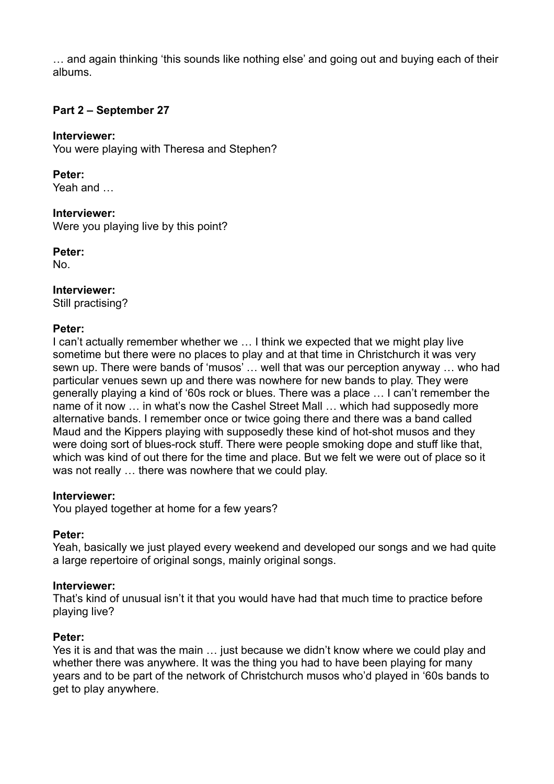… and again thinking 'this sounds like nothing else' and going out and buying each of their albums.

### **Part 2 – September 27**

### **Interviewer:**

You were playing with Theresa and Stephen?

## **Peter:**

Yeah and …

## **Interviewer:**

Were you playing live by this point?

## **Peter:**

No.

# **Interviewer:**

Still practising?

## **Peter:**

I can't actually remember whether we … I think we expected that we might play live sometime but there were no places to play and at that time in Christchurch it was very sewn up. There were bands of 'musos' … well that was our perception anyway … who had particular venues sewn up and there was nowhere for new bands to play. They were generally playing a kind of '60s rock or blues. There was a place … I can't remember the name of it now … in what's now the Cashel Street Mall … which had supposedly more alternative bands. I remember once or twice going there and there was a band called Maud and the Kippers playing with supposedly these kind of hot-shot musos and they were doing sort of blues-rock stuff. There were people smoking dope and stuff like that, which was kind of out there for the time and place. But we felt we were out of place so it was not really … there was nowhere that we could play.

### **Interviewer:**

You played together at home for a few years?

# **Peter:**

Yeah, basically we just played every weekend and developed our songs and we had quite a large repertoire of original songs, mainly original songs.

# **Interviewer:**

That's kind of unusual isn't it that you would have had that much time to practice before playing live?

# **Peter:**

Yes it is and that was the main … just because we didn't know where we could play and whether there was anywhere. It was the thing you had to have been playing for many years and to be part of the network of Christchurch musos who'd played in '60s bands to get to play anywhere.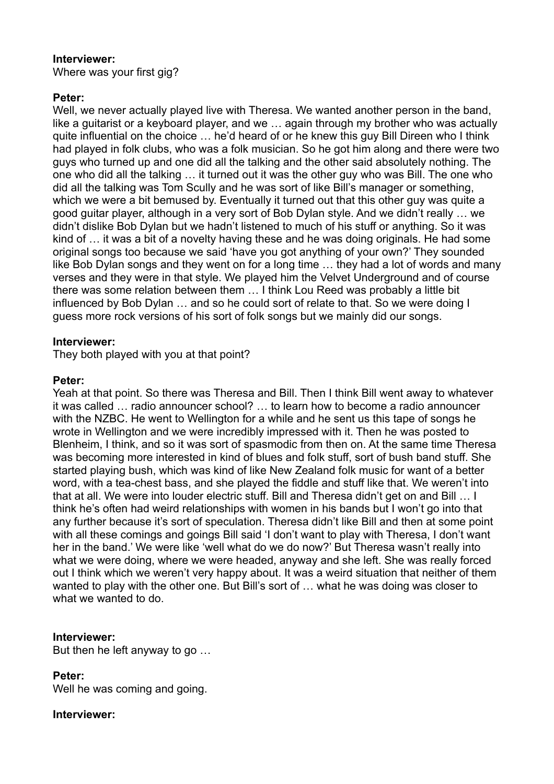Where was your first gig?

## **Peter:**

Well, we never actually played live with Theresa. We wanted another person in the band, like a guitarist or a keyboard player, and we … again through my brother who was actually quite influential on the choice … he'd heard of or he knew this guy Bill Direen who I think had played in folk clubs, who was a folk musician. So he got him along and there were two guys who turned up and one did all the talking and the other said absolutely nothing. The one who did all the talking … it turned out it was the other guy who was Bill. The one who did all the talking was Tom Scully and he was sort of like Bill's manager or something, which we were a bit bemused by. Eventually it turned out that this other guy was quite a good guitar player, although in a very sort of Bob Dylan style. And we didn't really … we didn't dislike Bob Dylan but we hadn't listened to much of his stuff or anything. So it was kind of … it was a bit of a novelty having these and he was doing originals. He had some original songs too because we said 'have you got anything of your own?' They sounded like Bob Dylan songs and they went on for a long time … they had a lot of words and many verses and they were in that style. We played him the Velvet Underground and of course there was some relation between them … I think Lou Reed was probably a little bit influenced by Bob Dylan … and so he could sort of relate to that. So we were doing I guess more rock versions of his sort of folk songs but we mainly did our songs.

### **Interviewer:**

They both played with you at that point?

### **Peter:**

Yeah at that point. So there was Theresa and Bill. Then I think Bill went away to whatever it was called … radio announcer school? … to learn how to become a radio announcer with the NZBC. He went to Wellington for a while and he sent us this tape of songs he wrote in Wellington and we were incredibly impressed with it. Then he was posted to Blenheim, I think, and so it was sort of spasmodic from then on. At the same time Theresa was becoming more interested in kind of blues and folk stuff, sort of bush band stuff. She started playing bush, which was kind of like New Zealand folk music for want of a better word, with a tea-chest bass, and she played the fiddle and stuff like that. We weren't into that at all. We were into louder electric stuff. Bill and Theresa didn't get on and Bill … I think he's often had weird relationships with women in his bands but I won't go into that any further because it's sort of speculation. Theresa didn't like Bill and then at some point with all these comings and goings Bill said 'I don't want to play with Theresa, I don't want her in the band.' We were like 'well what do we do now?' But Theresa wasn't really into what we were doing, where we were headed, anyway and she left. She was really forced out I think which we weren't very happy about. It was a weird situation that neither of them wanted to play with the other one. But Bill's sort of … what he was doing was closer to what we wanted to do.

### **Interviewer:**

But then he left anyway to go …

### **Peter:**

Well he was coming and going.

### **Interviewer:**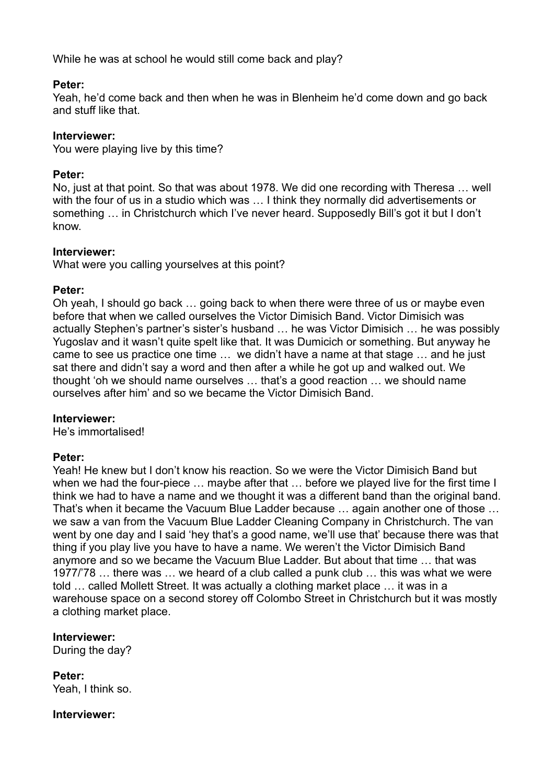While he was at school he would still come back and play?

### **Peter:**

Yeah, he'd come back and then when he was in Blenheim he'd come down and go back and stuff like that.

## **Interviewer:**

You were playing live by this time?

## **Peter:**

No, just at that point. So that was about 1978. We did one recording with Theresa … well with the four of us in a studio which was ... I think they normally did advertisements or something … in Christchurch which I've never heard. Supposedly Bill's got it but I don't know.

## **Interviewer:**

What were you calling yourselves at this point?

## **Peter:**

Oh yeah, I should go back … going back to when there were three of us or maybe even before that when we called ourselves the Victor Dimisich Band. Victor Dimisich was actually Stephen's partner's sister's husband … he was Victor Dimisich … he was possibly Yugoslav and it wasn't quite spelt like that. It was Dumicich or something. But anyway he came to see us practice one time … we didn't have a name at that stage … and he just sat there and didn't say a word and then after a while he got up and walked out. We thought 'oh we should name ourselves … that's a good reaction … we should name ourselves after him' and so we became the Victor Dimisich Band.

### **Interviewer:**

He's immortalised!

# **Peter:**

Yeah! He knew but I don't know his reaction. So we were the Victor Dimisich Band but when we had the four-piece ... maybe after that ... before we played live for the first time I think we had to have a name and we thought it was a different band than the original band. That's when it became the Vacuum Blue Ladder because … again another one of those … we saw a van from the Vacuum Blue Ladder Cleaning Company in Christchurch. The van went by one day and I said 'hey that's a good name, we'll use that' because there was that thing if you play live you have to have a name. We weren't the Victor Dimisich Band anymore and so we became the Vacuum Blue Ladder. But about that time … that was 1977/'78 … there was … we heard of a club called a punk club … this was what we were told … called Mollett Street. It was actually a clothing market place … it was in a warehouse space on a second storey off Colombo Street in Christchurch but it was mostly a clothing market place.

# **Interviewer:**

During the day?

**Peter:** Yeah, I think so.

### **Interviewer:**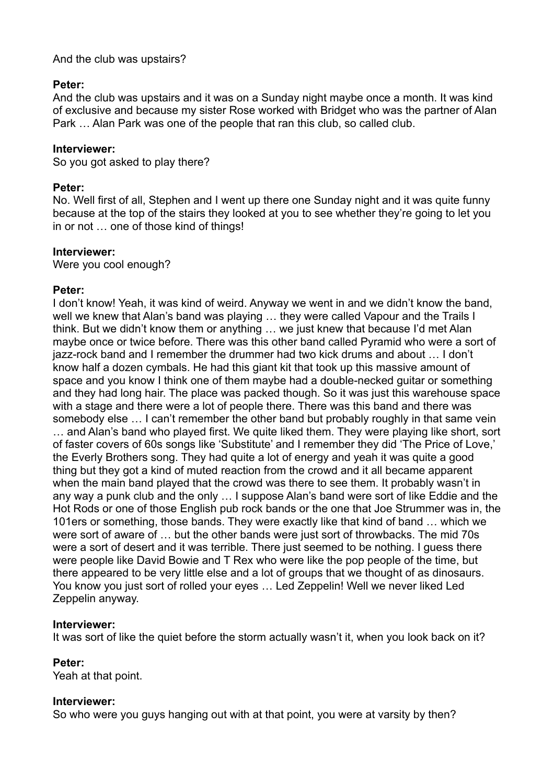And the club was upstairs?

## **Peter:**

And the club was upstairs and it was on a Sunday night maybe once a month. It was kind of exclusive and because my sister Rose worked with Bridget who was the partner of Alan Park … Alan Park was one of the people that ran this club, so called club.

## **Interviewer:**

So you got asked to play there?

## **Peter:**

No. Well first of all, Stephen and I went up there one Sunday night and it was quite funny because at the top of the stairs they looked at you to see whether they're going to let you in or not … one of those kind of things!

## **Interviewer:**

Were you cool enough?

# **Peter:**

I don't know! Yeah, it was kind of weird. Anyway we went in and we didn't know the band, well we knew that Alan's band was playing … they were called Vapour and the Trails I think. But we didn't know them or anything … we just knew that because I'd met Alan maybe once or twice before. There was this other band called Pyramid who were a sort of jazz-rock band and I remember the drummer had two kick drums and about … I don't know half a dozen cymbals. He had this giant kit that took up this massive amount of space and you know I think one of them maybe had a double-necked guitar or something and they had long hair. The place was packed though. So it was just this warehouse space with a stage and there were a lot of people there. There was this band and there was somebody else … I can't remember the other band but probably roughly in that same vein … and Alan's band who played first. We quite liked them. They were playing like short, sort of faster covers of 60s songs like 'Substitute' and I remember they did 'The Price of Love,' the Everly Brothers song. They had quite a lot of energy and yeah it was quite a good thing but they got a kind of muted reaction from the crowd and it all became apparent when the main band played that the crowd was there to see them. It probably wasn't in any way a punk club and the only … I suppose Alan's band were sort of like Eddie and the Hot Rods or one of those English pub rock bands or the one that Joe Strummer was in, the 101ers or something, those bands. They were exactly like that kind of band … which we were sort of aware of … but the other bands were just sort of throwbacks. The mid 70s were a sort of desert and it was terrible. There just seemed to be nothing. I guess there were people like David Bowie and T Rex who were like the pop people of the time, but there appeared to be very little else and a lot of groups that we thought of as dinosaurs. You know you just sort of rolled your eyes … Led Zeppelin! Well we never liked Led Zeppelin anyway.

# **Interviewer:**

It was sort of like the quiet before the storm actually wasn't it, when you look back on it?

# **Peter:**

Yeah at that point.

# **Interviewer:**

So who were you guys hanging out with at that point, you were at varsity by then?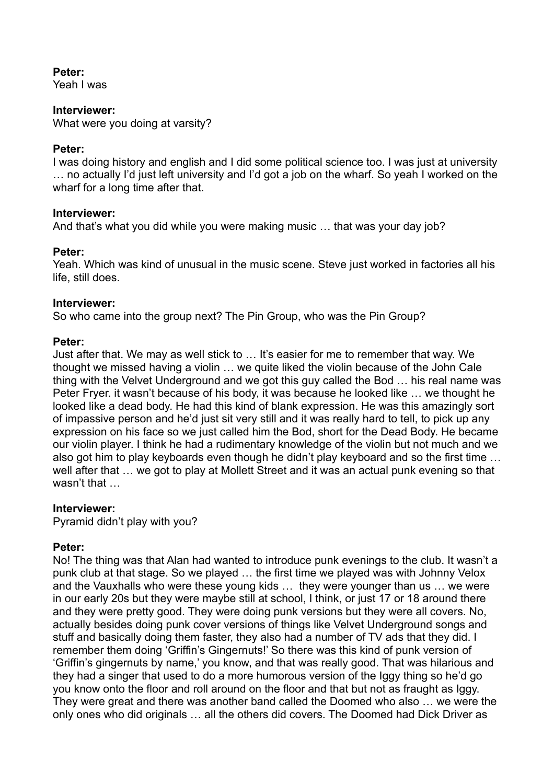## **Peter:**

Yeah I was

### **Interviewer:**

What were you doing at varsity?

## **Peter:**

I was doing history and english and I did some political science too. I was just at university … no actually I'd just left university and I'd got a job on the wharf. So yeah I worked on the wharf for a long time after that.

## **Interviewer:**

And that's what you did while you were making music … that was your day job?

## **Peter:**

Yeah. Which was kind of unusual in the music scene. Steve just worked in factories all his life, still does.

## **Interviewer:**

So who came into the group next? The Pin Group, who was the Pin Group?

## **Peter:**

Just after that. We may as well stick to … It's easier for me to remember that way. We thought we missed having a violin … we quite liked the violin because of the John Cale thing with the Velvet Underground and we got this guy called the Bod … his real name was Peter Fryer. it wasn't because of his body, it was because he looked like … we thought he looked like a dead body. He had this kind of blank expression. He was this amazingly sort of impassive person and he'd just sit very still and it was really hard to tell, to pick up any expression on his face so we just called him the Bod, short for the Dead Body. He became our violin player. I think he had a rudimentary knowledge of the violin but not much and we also got him to play keyboards even though he didn't play keyboard and so the first time … well after that … we got to play at Mollett Street and it was an actual punk evening so that wasn't that …

### **Interviewer:**

Pyramid didn't play with you?

# **Peter:**

No! The thing was that Alan had wanted to introduce punk evenings to the club. It wasn't a punk club at that stage. So we played … the first time we played was with Johnny Velox and the Vauxhalls who were these young kids … they were younger than us … we were in our early 20s but they were maybe still at school, I think, or just 17 or 18 around there and they were pretty good. They were doing punk versions but they were all covers. No, actually besides doing punk cover versions of things like Velvet Underground songs and stuff and basically doing them faster, they also had a number of TV ads that they did. I remember them doing 'Griffin's Gingernuts!' So there was this kind of punk version of 'Griffin's gingernuts by name,' you know, and that was really good. That was hilarious and they had a singer that used to do a more humorous version of the Iggy thing so he'd go you know onto the floor and roll around on the floor and that but not as fraught as Iggy. They were great and there was another band called the Doomed who also … we were the only ones who did originals … all the others did covers. The Doomed had Dick Driver as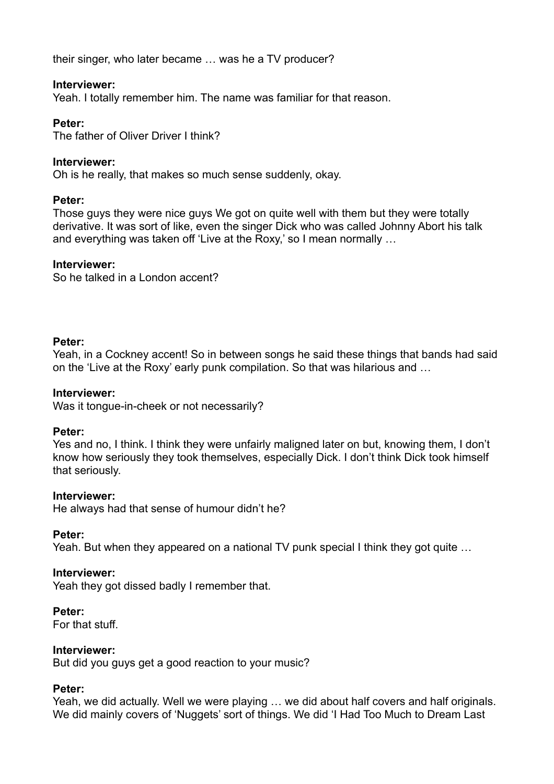their singer, who later became … was he a TV producer?

### **Interviewer:**

Yeah. I totally remember him. The name was familiar for that reason.

## **Peter:**

The father of Oliver Driver I think?

## **Interviewer:**

Oh is he really, that makes so much sense suddenly, okay.

### **Peter:**

Those guys they were nice guys We got on quite well with them but they were totally derivative. It was sort of like, even the singer Dick who was called Johnny Abort his talk and everything was taken off 'Live at the Roxy,' so I mean normally …

## **Interviewer:**

So he talked in a London accent?

## **Peter:**

Yeah, in a Cockney accent! So in between songs he said these things that bands had said on the 'Live at the Roxy' early punk compilation. So that was hilarious and …

### **Interviewer:**

Was it tongue-in-cheek or not necessarily?

### **Peter:**

Yes and no, I think. I think they were unfairly maligned later on but, knowing them, I don't know how seriously they took themselves, especially Dick. I don't think Dick took himself that seriously.

### **Interviewer:**

He always had that sense of humour didn't he?

### **Peter:**

Yeah. But when they appeared on a national TV punk special I think they got quite …

### **Interviewer:**

Yeah they got dissed badly I remember that.

### **Peter:**

For that stuff.

### **Interviewer:**

But did you guys get a good reaction to your music?

### **Peter:**

Yeah, we did actually. Well we were playing … we did about half covers and half originals. We did mainly covers of 'Nuggets' sort of things. We did 'I Had Too Much to Dream Last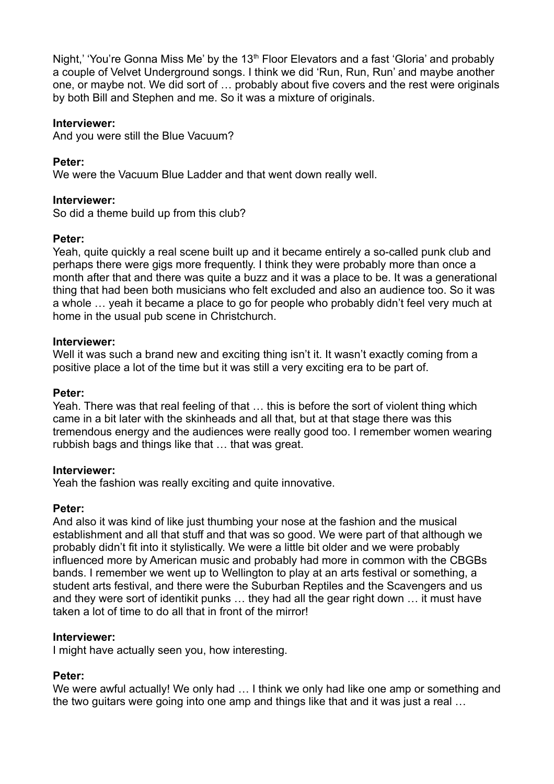Night,' 'You're Gonna Miss Me' by the 13<sup>th</sup> Floor Elevators and a fast 'Gloria' and probably a couple of Velvet Underground songs. I think we did 'Run, Run, Run' and maybe another one, or maybe not. We did sort of … probably about five covers and the rest were originals by both Bill and Stephen and me. So it was a mixture of originals.

### **Interviewer:**

And you were still the Blue Vacuum?

### **Peter:**

We were the Vacuum Blue Ladder and that went down really well.

### **Interviewer:**

So did a theme build up from this club?

### **Peter:**

Yeah, quite quickly a real scene built up and it became entirely a so-called punk club and perhaps there were gigs more frequently. I think they were probably more than once a month after that and there was quite a buzz and it was a place to be. It was a generational thing that had been both musicians who felt excluded and also an audience too. So it was a whole … yeah it became a place to go for people who probably didn't feel very much at home in the usual pub scene in Christchurch.

### **Interviewer:**

Well it was such a brand new and exciting thing isn't it. It wasn't exactly coming from a positive place a lot of the time but it was still a very exciting era to be part of.

#### **Peter:**

Yeah. There was that real feeling of that … this is before the sort of violent thing which came in a bit later with the skinheads and all that, but at that stage there was this tremendous energy and the audiences were really good too. I remember women wearing rubbish bags and things like that … that was great.

#### **Interviewer:**

Yeah the fashion was really exciting and quite innovative.

#### **Peter:**

And also it was kind of like just thumbing your nose at the fashion and the musical establishment and all that stuff and that was so good. We were part of that although we probably didn't fit into it stylistically. We were a little bit older and we were probably influenced more by American music and probably had more in common with the CBGBs bands. I remember we went up to Wellington to play at an arts festival or something, a student arts festival, and there were the Suburban Reptiles and the Scavengers and us and they were sort of identikit punks … they had all the gear right down … it must have taken a lot of time to do all that in front of the mirror!

### **Interviewer:**

I might have actually seen you, how interesting.

### **Peter:**

We were awful actually! We only had ... I think we only had like one amp or something and the two guitars were going into one amp and things like that and it was just a real …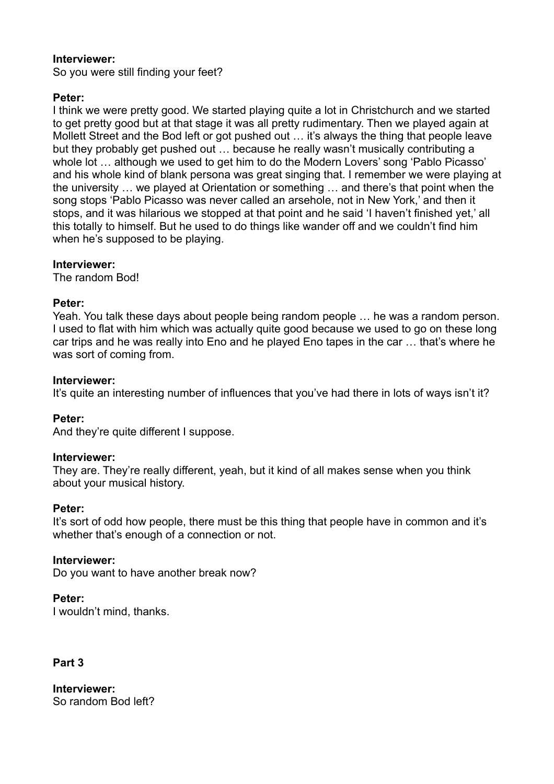So you were still finding your feet?

## **Peter:**

I think we were pretty good. We started playing quite a lot in Christchurch and we started to get pretty good but at that stage it was all pretty rudimentary. Then we played again at Mollett Street and the Bod left or got pushed out … it's always the thing that people leave but they probably get pushed out … because he really wasn't musically contributing a whole lot ... although we used to get him to do the Modern Lovers' song 'Pablo Picasso' and his whole kind of blank persona was great singing that. I remember we were playing at the university … we played at Orientation or something … and there's that point when the song stops 'Pablo Picasso was never called an arsehole, not in New York,' and then it stops, and it was hilarious we stopped at that point and he said 'I haven't finished yet,' all this totally to himself. But he used to do things like wander off and we couldn't find him when he's supposed to be playing.

### **Interviewer:**

The random Bod!

### **Peter:**

Yeah. You talk these days about people being random people … he was a random person. I used to flat with him which was actually quite good because we used to go on these long car trips and he was really into Eno and he played Eno tapes in the car … that's where he was sort of coming from.

### **Interviewer:**

It's quite an interesting number of influences that you've had there in lots of ways isn't it?

### **Peter:**

And they're quite different I suppose.

#### **Interviewer:**

They are. They're really different, yeah, but it kind of all makes sense when you think about your musical history.

#### **Peter:**

It's sort of odd how people, there must be this thing that people have in common and it's whether that's enough of a connection or not.

### **Interviewer:**

Do you want to have another break now?

### **Peter:**

I wouldn't mind, thanks.

### **Part 3**

**Interviewer:**  So random Bod left?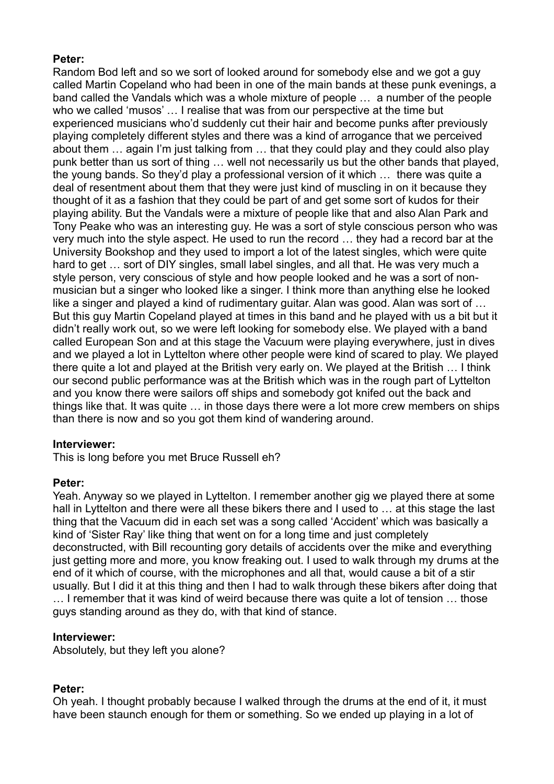## **Peter:**

Random Bod left and so we sort of looked around for somebody else and we got a guy called Martin Copeland who had been in one of the main bands at these punk evenings, a band called the Vandals which was a whole mixture of people … a number of the people who we called 'musos' … I realise that was from our perspective at the time but experienced musicians who'd suddenly cut their hair and become punks after previously playing completely different styles and there was a kind of arrogance that we perceived about them … again I'm just talking from … that they could play and they could also play punk better than us sort of thing … well not necessarily us but the other bands that played, the young bands. So they'd play a professional version of it which … there was quite a deal of resentment about them that they were just kind of muscling in on it because they thought of it as a fashion that they could be part of and get some sort of kudos for their playing ability. But the Vandals were a mixture of people like that and also Alan Park and Tony Peake who was an interesting guy. He was a sort of style conscious person who was very much into the style aspect. He used to run the record … they had a record bar at the University Bookshop and they used to import a lot of the latest singles, which were quite hard to get ... sort of DIY singles, small label singles, and all that. He was very much a style person, very conscious of style and how people looked and he was a sort of nonmusician but a singer who looked like a singer. I think more than anything else he looked like a singer and played a kind of rudimentary guitar. Alan was good. Alan was sort of … But this guy Martin Copeland played at times in this band and he played with us a bit but it didn't really work out, so we were left looking for somebody else. We played with a band called European Son and at this stage the Vacuum were playing everywhere, just in dives and we played a lot in Lyttelton where other people were kind of scared to play. We played there quite a lot and played at the British very early on. We played at the British … I think our second public performance was at the British which was in the rough part of Lyttelton and you know there were sailors off ships and somebody got knifed out the back and things like that. It was quite … in those days there were a lot more crew members on ships than there is now and so you got them kind of wandering around.

### **Interviewer:**

This is long before you met Bruce Russell eh?

# **Peter:**

Yeah. Anyway so we played in Lyttelton. I remember another gig we played there at some hall in Lyttelton and there were all these bikers there and I used to ... at this stage the last thing that the Vacuum did in each set was a song called 'Accident' which was basically a kind of 'Sister Ray' like thing that went on for a long time and just completely deconstructed, with Bill recounting gory details of accidents over the mike and everything just getting more and more, you know freaking out. I used to walk through my drums at the end of it which of course, with the microphones and all that, would cause a bit of a stir usually. But I did it at this thing and then I had to walk through these bikers after doing that … I remember that it was kind of weird because there was quite a lot of tension … those guys standing around as they do, with that kind of stance.

# **Interviewer:**

Absolutely, but they left you alone?

# **Peter:**

Oh yeah. I thought probably because I walked through the drums at the end of it, it must have been staunch enough for them or something. So we ended up playing in a lot of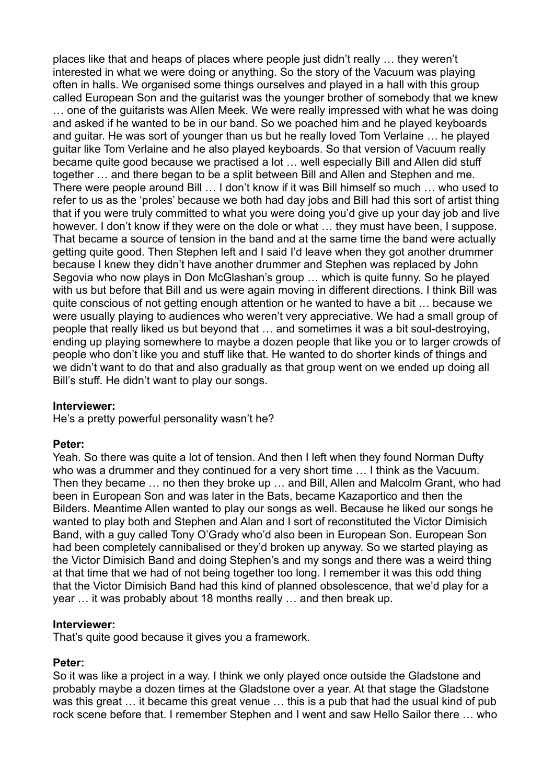places like that and heaps of places where people just didn't really … they weren't interested in what we were doing or anything. So the story of the Vacuum was playing often in halls. We organised some things ourselves and played in a hall with this group called European Son and the guitarist was the younger brother of somebody that we knew … one of the guitarists was Allen Meek. We were really impressed with what he was doing and asked if he wanted to be in our band. So we poached him and he played keyboards and guitar. He was sort of younger than us but he really loved Tom Verlaine … he played guitar like Tom Verlaine and he also played keyboards. So that version of Vacuum really became quite good because we practised a lot ... well especially Bill and Allen did stuff together … and there began to be a split between Bill and Allen and Stephen and me. There were people around Bill … I don't know if it was Bill himself so much … who used to refer to us as the 'proles' because we both had day jobs and Bill had this sort of artist thing that if you were truly committed to what you were doing you'd give up your day job and live however. I don't know if they were on the dole or what … they must have been, I suppose. That became a source of tension in the band and at the same time the band were actually getting quite good. Then Stephen left and I said I'd leave when they got another drummer because I knew they didn't have another drummer and Stephen was replaced by John Segovia who now plays in Don McGlashan's group … which is quite funny. So he played with us but before that Bill and us were again moving in different directions. I think Bill was quite conscious of not getting enough attention or he wanted to have a bit … because we were usually playing to audiences who weren't very appreciative. We had a small group of people that really liked us but beyond that … and sometimes it was a bit soul-destroying, ending up playing somewhere to maybe a dozen people that like you or to larger crowds of people who don't like you and stuff like that. He wanted to do shorter kinds of things and we didn't want to do that and also gradually as that group went on we ended up doing all Bill's stuff. He didn't want to play our songs.

### **Interviewer:**

He's a pretty powerful personality wasn't he?

### **Peter:**

Yeah. So there was quite a lot of tension. And then I left when they found Norman Dufty who was a drummer and they continued for a very short time … I think as the Vacuum. Then they became … no then they broke up … and Bill, Allen and Malcolm Grant, who had been in European Son and was later in the Bats, became Kazaportico and then the Bilders. Meantime Allen wanted to play our songs as well. Because he liked our songs he wanted to play both and Stephen and Alan and I sort of reconstituted the Victor Dimisich Band, with a guy called Tony O'Grady who'd also been in European Son. European Son had been completely cannibalised or they'd broken up anyway. So we started playing as the Victor Dimisich Band and doing Stephen's and my songs and there was a weird thing at that time that we had of not being together too long. I remember it was this odd thing that the Victor Dimisich Band had this kind of planned obsolescence, that we'd play for a year … it was probably about 18 months really … and then break up.

#### **Interviewer:**

That's quite good because it gives you a framework.

### **Peter:**

So it was like a project in a way. I think we only played once outside the Gladstone and probably maybe a dozen times at the Gladstone over a year. At that stage the Gladstone was this great … it became this great venue … this is a pub that had the usual kind of pub rock scene before that. I remember Stephen and I went and saw Hello Sailor there … who